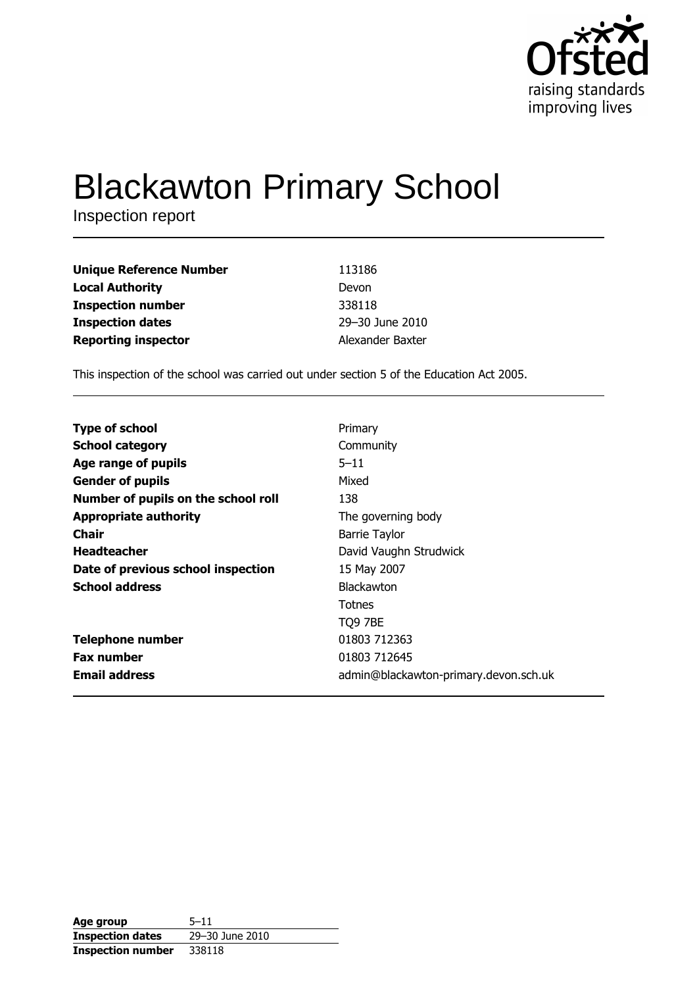

# **Blackawton Primary School**

Inspection report

| <b>Unique Reference Number</b> | 113186           |
|--------------------------------|------------------|
| <b>Local Authority</b>         | Devon            |
| <b>Inspection number</b>       | 338118           |
| <b>Inspection dates</b>        | 29-30 June 2010  |
| <b>Reporting inspector</b>     | Alexander Baxter |

This inspection of the school was carried out under section 5 of the Education Act 2005.

| <b>Type of school</b>               | Primary                               |
|-------------------------------------|---------------------------------------|
| <b>School category</b>              | Community                             |
| Age range of pupils                 | $5 - 11$                              |
| <b>Gender of pupils</b>             | Mixed                                 |
| Number of pupils on the school roll | 138                                   |
| <b>Appropriate authority</b>        | The governing body                    |
| Chair                               | <b>Barrie Taylor</b>                  |
| <b>Headteacher</b>                  | David Vaughn Strudwick                |
| Date of previous school inspection  | 15 May 2007                           |
| <b>School address</b>               | <b>Blackawton</b>                     |
|                                     | Totnes                                |
|                                     | TO9 7BE                               |
| <b>Telephone number</b>             | 01803 712363                          |
| <b>Fax number</b>                   | 01803 712645                          |
| <b>Email address</b>                | admin@blackawton-primary.devon.sch.uk |

| Age group                | $5 - 11$        |
|--------------------------|-----------------|
| <b>Inspection dates</b>  | 29-30 June 2010 |
| <b>Inspection number</b> | 338118          |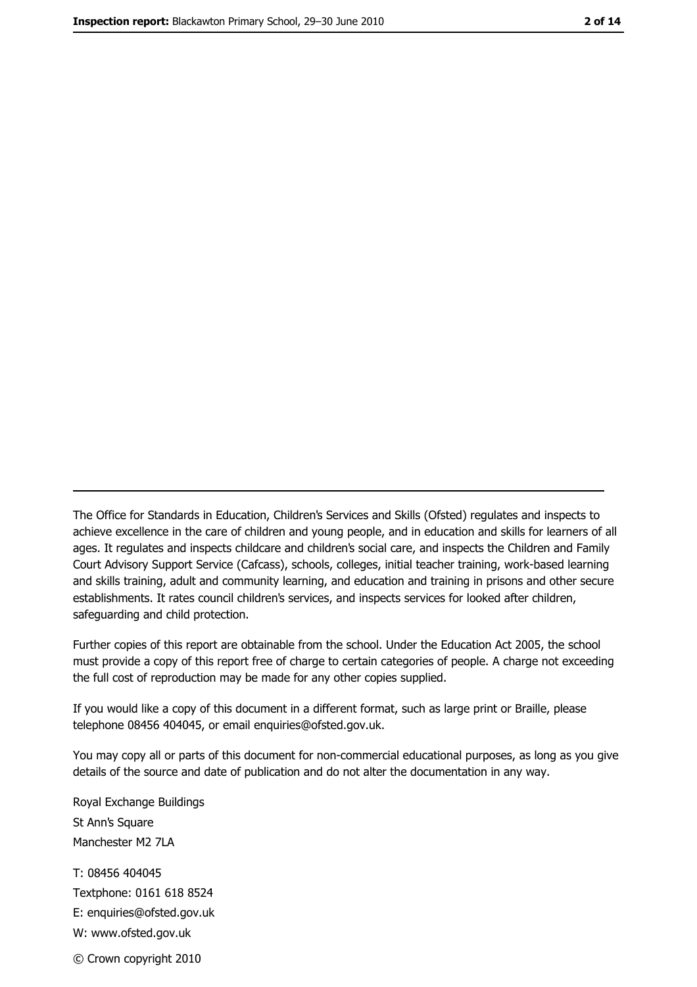The Office for Standards in Education, Children's Services and Skills (Ofsted) regulates and inspects to achieve excellence in the care of children and young people, and in education and skills for learners of all ages. It regulates and inspects childcare and children's social care, and inspects the Children and Family Court Advisory Support Service (Cafcass), schools, colleges, initial teacher training, work-based learning and skills training, adult and community learning, and education and training in prisons and other secure establishments. It rates council children's services, and inspects services for looked after children, safequarding and child protection.

Further copies of this report are obtainable from the school. Under the Education Act 2005, the school must provide a copy of this report free of charge to certain categories of people. A charge not exceeding the full cost of reproduction may be made for any other copies supplied.

If you would like a copy of this document in a different format, such as large print or Braille, please telephone 08456 404045, or email enquiries@ofsted.gov.uk.

You may copy all or parts of this document for non-commercial educational purposes, as long as you give details of the source and date of publication and do not alter the documentation in any way.

Royal Exchange Buildings St Ann's Square Manchester M2 7LA T: 08456 404045 Textphone: 0161 618 8524 E: enquiries@ofsted.gov.uk W: www.ofsted.gov.uk © Crown copyright 2010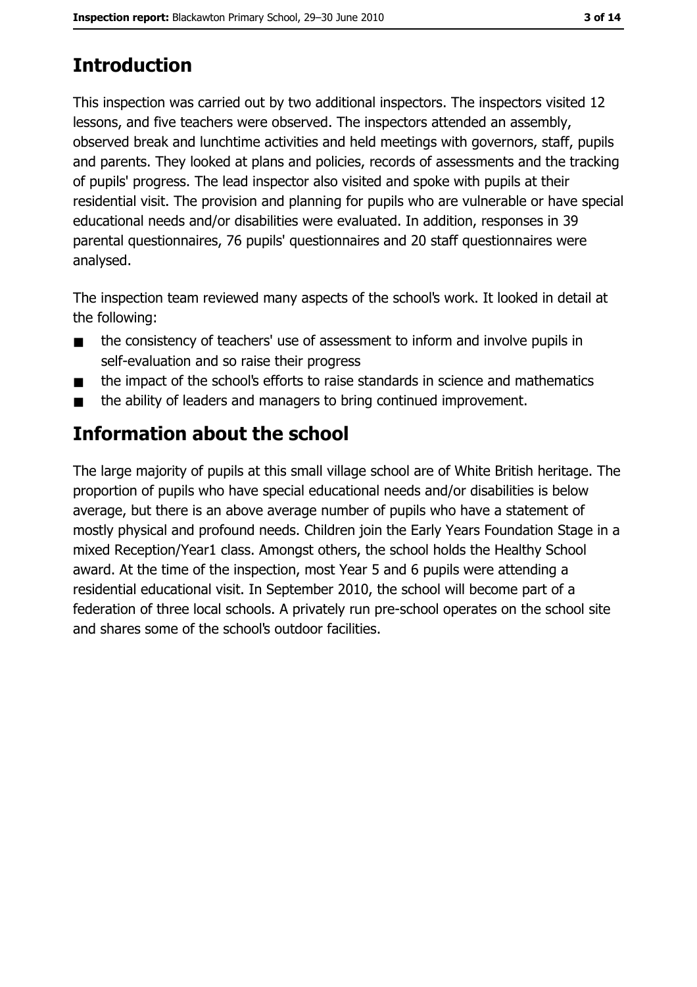# **Introduction**

This inspection was carried out by two additional inspectors. The inspectors visited 12 lessons, and five teachers were observed. The inspectors attended an assembly, observed break and lunchtime activities and held meetings with governors, staff, pupils and parents. They looked at plans and policies, records of assessments and the tracking of pupils' progress. The lead inspector also visited and spoke with pupils at their residential visit. The provision and planning for pupils who are vulnerable or have special educational needs and/or disabilities were evaluated. In addition, responses in 39 parental questionnaires, 76 pupils' questionnaires and 20 staff questionnaires were analysed.

The inspection team reviewed many aspects of the school's work. It looked in detail at the following:

- the consistency of teachers' use of assessment to inform and involve pupils in  $\blacksquare$ self-evaluation and so raise their progress
- the impact of the school's efforts to raise standards in science and mathematics  $\blacksquare$
- the ability of leaders and managers to bring continued improvement.  $\blacksquare$

# Information about the school

The large majority of pupils at this small village school are of White British heritage. The proportion of pupils who have special educational needs and/or disabilities is below average, but there is an above average number of pupils who have a statement of mostly physical and profound needs. Children join the Early Years Foundation Stage in a mixed Reception/Year1 class. Amongst others, the school holds the Healthy School award. At the time of the inspection, most Year 5 and 6 pupils were attending a residential educational visit. In September 2010, the school will become part of a federation of three local schools. A privately run pre-school operates on the school site and shares some of the school's outdoor facilities.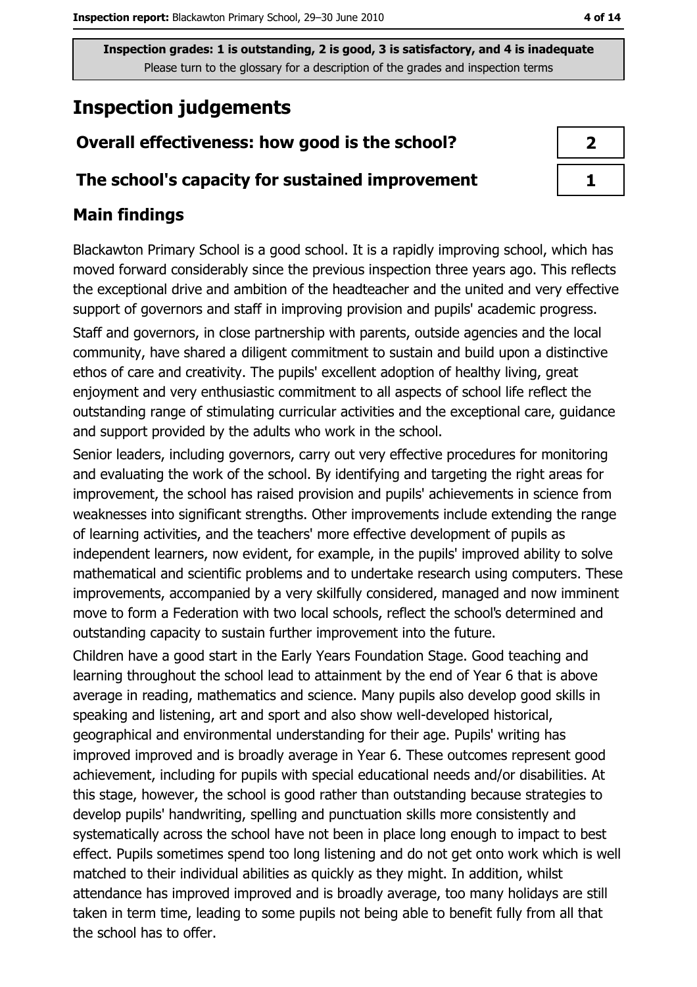# **Inspection judgements**

## Overall effectiveness: how good is the school?

#### The school's capacity for sustained improvement

## **Main findings**

Blackawton Primary School is a good school. It is a rapidly improving school, which has moved forward considerably since the previous inspection three years ago. This reflects the exceptional drive and ambition of the headteacher and the united and very effective support of governors and staff in improving provision and pupils' academic progress. Staff and governors, in close partnership with parents, outside agencies and the local community, have shared a diligent commitment to sustain and build upon a distinctive ethos of care and creativity. The pupils' excellent adoption of healthy living, great enjoyment and very enthusiastic commitment to all aspects of school life reflect the outstanding range of stimulating curricular activities and the exceptional care, guidance and support provided by the adults who work in the school.

Senior leaders, including governors, carry out very effective procedures for monitoring and evaluating the work of the school. By identifying and targeting the right areas for improvement, the school has raised provision and pupils' achievements in science from weaknesses into significant strengths. Other improvements include extending the range of learning activities, and the teachers' more effective development of pupils as independent learners, now evident, for example, in the pupils' improved ability to solve mathematical and scientific problems and to undertake research using computers. These improvements, accompanied by a very skilfully considered, managed and now imminent move to form a Federation with two local schools, reflect the school's determined and outstanding capacity to sustain further improvement into the future.

Children have a good start in the Early Years Foundation Stage. Good teaching and learning throughout the school lead to attainment by the end of Year 6 that is above average in reading, mathematics and science. Many pupils also develop good skills in speaking and listening, art and sport and also show well-developed historical, geographical and environmental understanding for their age. Pupils' writing has improved improved and is broadly average in Year 6. These outcomes represent good achievement, including for pupils with special educational needs and/or disabilities. At this stage, however, the school is good rather than outstanding because strategies to develop pupils' handwriting, spelling and punctuation skills more consistently and systematically across the school have not been in place long enough to impact to best effect. Pupils sometimes spend too long listening and do not get onto work which is well matched to their individual abilities as quickly as they might. In addition, whilst attendance has improved improved and is broadly average, too many holidays are still taken in term time, leading to some pupils not being able to benefit fully from all that the school has to offer.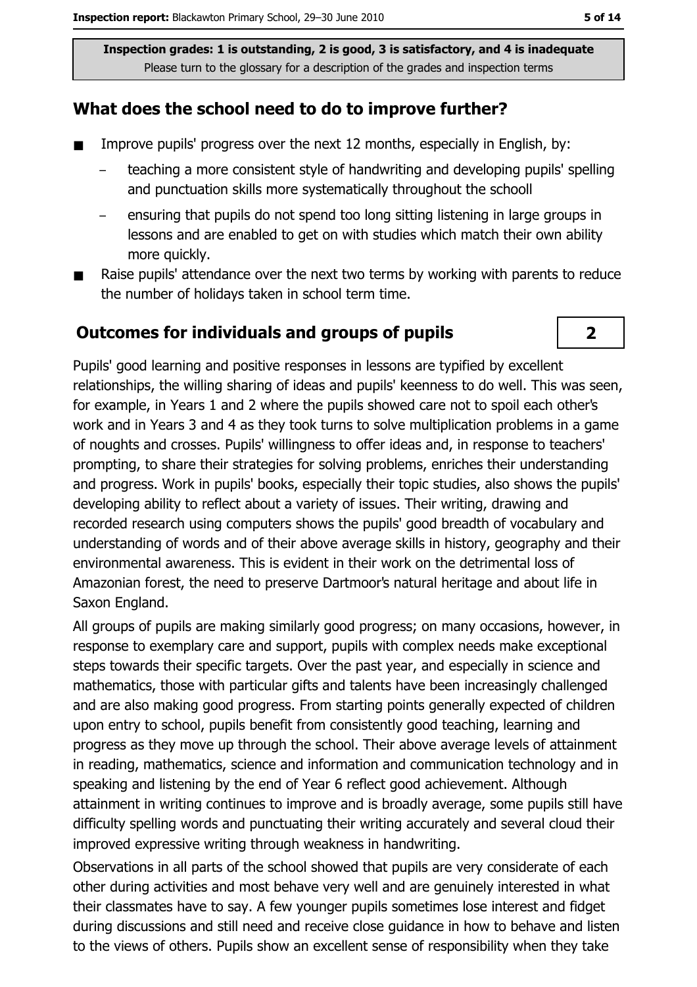## What does the school need to do to improve further?

- $\blacksquare$ Improve pupils' progress over the next 12 months, especially in English, by:
	- teaching a more consistent style of handwriting and developing pupils' spelling and punctuation skills more systematically throughout the schooll
	- ensuring that pupils do not spend too long sitting listening in large groups in lessons and are enabled to get on with studies which match their own ability more auickly.
- Raise pupils' attendance over the next two terms by working with parents to reduce  $\blacksquare$ the number of holidays taken in school term time.

#### **Outcomes for individuals and groups of pupils**



Pupils' good learning and positive responses in lessons are typified by excellent relationships, the willing sharing of ideas and pupils' keenness to do well. This was seen, for example, in Years 1 and 2 where the pupils showed care not to spoil each other's work and in Years 3 and 4 as they took turns to solve multiplication problems in a game of noughts and crosses. Pupils' willingness to offer ideas and, in response to teachers' prompting, to share their strategies for solving problems, enriches their understanding and progress. Work in pupils' books, especially their topic studies, also shows the pupils' developing ability to reflect about a variety of issues. Their writing, drawing and recorded research using computers shows the pupils' good breadth of vocabulary and understanding of words and of their above average skills in history, geography and their environmental awareness. This is evident in their work on the detrimental loss of Amazonian forest, the need to preserve Dartmoor's natural heritage and about life in Saxon England.

All groups of pupils are making similarly good progress; on many occasions, however, in response to exemplary care and support, pupils with complex needs make exceptional steps towards their specific targets. Over the past year, and especially in science and mathematics, those with particular gifts and talents have been increasingly challenged and are also making good progress. From starting points generally expected of children upon entry to school, pupils benefit from consistently good teaching, learning and progress as they move up through the school. Their above average levels of attainment in reading, mathematics, science and information and communication technology and in speaking and listening by the end of Year 6 reflect good achievement. Although attainment in writing continues to improve and is broadly average, some pupils still have difficulty spelling words and punctuating their writing accurately and several cloud their improved expressive writing through weakness in handwriting.

Observations in all parts of the school showed that pupils are very considerate of each other during activities and most behave very well and are genuinely interested in what their classmates have to say. A few younger pupils sometimes lose interest and fidget during discussions and still need and receive close guidance in how to behave and listen to the views of others. Pupils show an excellent sense of responsibility when they take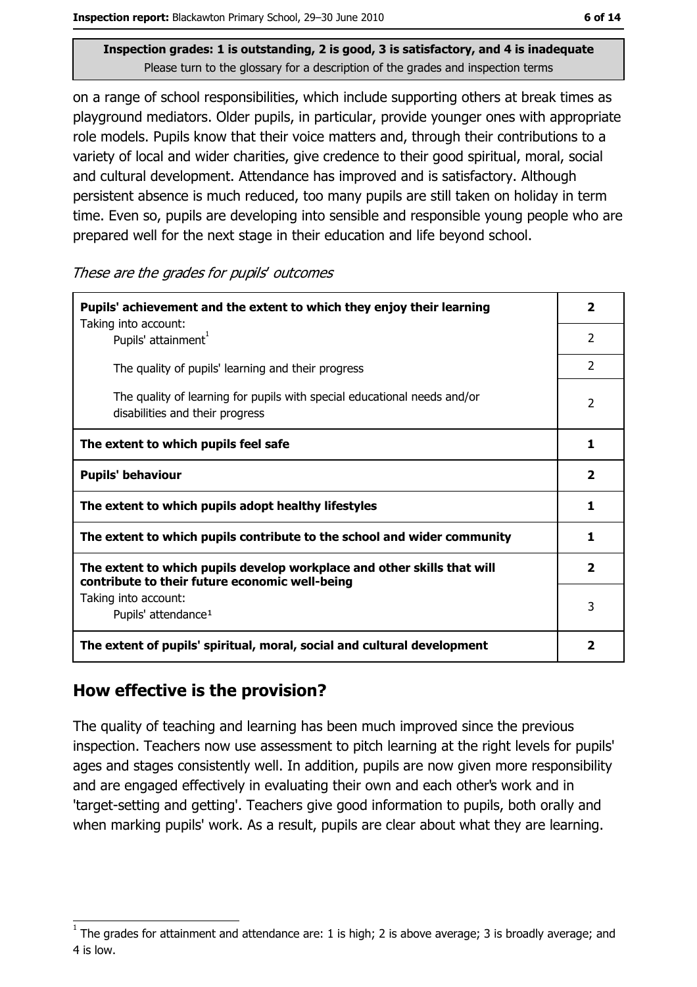on a range of school responsibilities, which include supporting others at break times as playground mediators. Older pupils, in particular, provide younger ones with appropriate role models. Pupils know that their voice matters and, through their contributions to a variety of local and wider charities, give credence to their good spiritual, moral, social and cultural development. Attendance has improved and is satisfactory. Although persistent absence is much reduced, too many pupils are still taken on holiday in term time. Even so, pupils are developing into sensible and responsible young people who are prepared well for the next stage in their education and life beyond school.

These are the grades for pupils' outcomes

| Pupils' achievement and the extent to which they enjoy their learning                                                     |                         |  |
|---------------------------------------------------------------------------------------------------------------------------|-------------------------|--|
| Taking into account:<br>Pupils' attainment <sup>1</sup>                                                                   | $\mathcal{P}$           |  |
| The quality of pupils' learning and their progress                                                                        | $\mathcal{P}$           |  |
| The quality of learning for pupils with special educational needs and/or<br>disabilities and their progress               | $\overline{2}$          |  |
| The extent to which pupils feel safe                                                                                      | 1                       |  |
| <b>Pupils' behaviour</b>                                                                                                  | $\overline{\mathbf{2}}$ |  |
| The extent to which pupils adopt healthy lifestyles                                                                       | 1                       |  |
| The extent to which pupils contribute to the school and wider community                                                   |                         |  |
| The extent to which pupils develop workplace and other skills that will<br>contribute to their future economic well-being |                         |  |
| Taking into account:<br>Pupils' attendance <sup>1</sup>                                                                   | 3                       |  |
| The extent of pupils' spiritual, moral, social and cultural development                                                   |                         |  |

## How effective is the provision?

The quality of teaching and learning has been much improved since the previous inspection. Teachers now use assessment to pitch learning at the right levels for pupils' ages and stages consistently well. In addition, pupils are now given more responsibility and are engaged effectively in evaluating their own and each other's work and in 'target-setting and getting'. Teachers give good information to pupils, both orally and when marking pupils' work. As a result, pupils are clear about what they are learning.

The grades for attainment and attendance are: 1 is high; 2 is above average; 3 is broadly average; and 4 is low.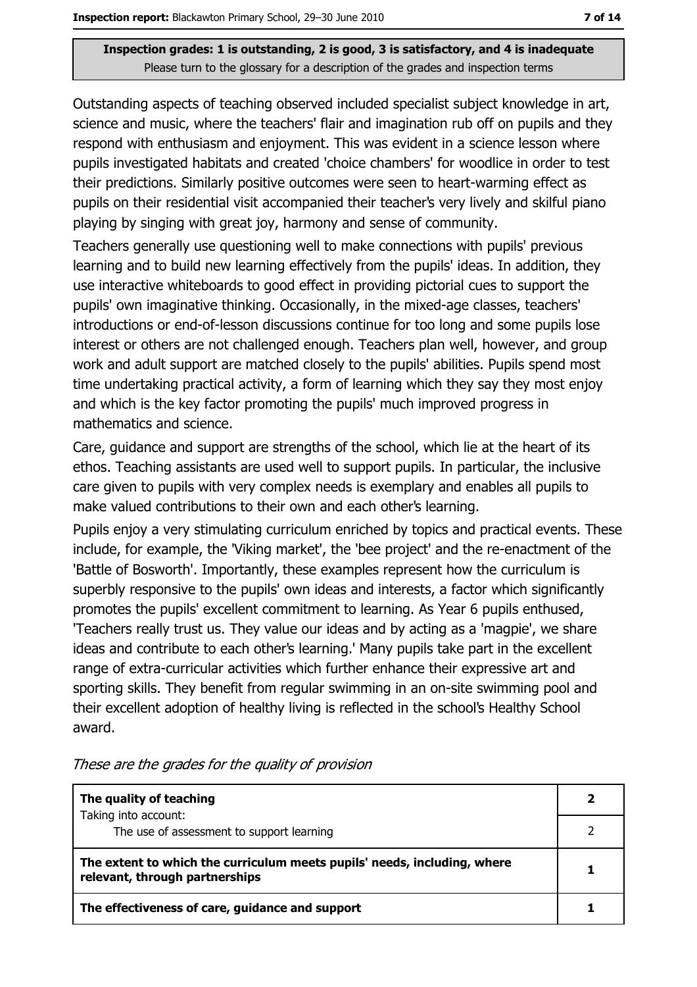Outstanding aspects of teaching observed included specialist subject knowledge in art, science and music, where the teachers' flair and imagination rub off on pupils and they respond with enthusiasm and enjoyment. This was evident in a science lesson where pupils investigated habitats and created 'choice chambers' for woodlice in order to test their predictions. Similarly positive outcomes were seen to heart-warming effect as pupils on their residential visit accompanied their teacher's very lively and skilful piano playing by singing with great joy, harmony and sense of community.

Teachers generally use questioning well to make connections with pupils' previous learning and to build new learning effectively from the pupils' ideas. In addition, they use interactive whiteboards to good effect in providing pictorial cues to support the pupils' own imaginative thinking. Occasionally, in the mixed-age classes, teachers' introductions or end-of-lesson discussions continue for too long and some pupils lose interest or others are not challenged enough. Teachers plan well, however, and group work and adult support are matched closely to the pupils' abilities. Pupils spend most time undertaking practical activity, a form of learning which they say they most enjoy and which is the key factor promoting the pupils' much improved progress in mathematics and science.

Care, quidance and support are strengths of the school, which lie at the heart of its ethos. Teaching assistants are used well to support pupils. In particular, the inclusive care given to pupils with very complex needs is exemplary and enables all pupils to make valued contributions to their own and each other's learning.

Pupils enjoy a very stimulating curriculum enriched by topics and practical events. These include, for example, the 'Viking market', the 'bee project' and the re-enactment of the 'Battle of Bosworth'. Importantly, these examples represent how the curriculum is superbly responsive to the pupils' own ideas and interests, a factor which significantly promotes the pupils' excellent commitment to learning. As Year 6 pupils enthused, 'Teachers really trust us. They value our ideas and by acting as a 'magpie', we share ideas and contribute to each other's learning.' Many pupils take part in the excellent range of extra-curricular activities which further enhance their expressive art and sporting skills. They benefit from regular swimming in an on-site swimming pool and their excellent adoption of healthy living is reflected in the school's Healthy School award.

| The quality of teaching                                                                                    |  |
|------------------------------------------------------------------------------------------------------------|--|
| Taking into account:<br>The use of assessment to support learning                                          |  |
| The extent to which the curriculum meets pupils' needs, including, where<br>relevant, through partnerships |  |
| The effectiveness of care, guidance and support                                                            |  |

These are the grades for the quality of provision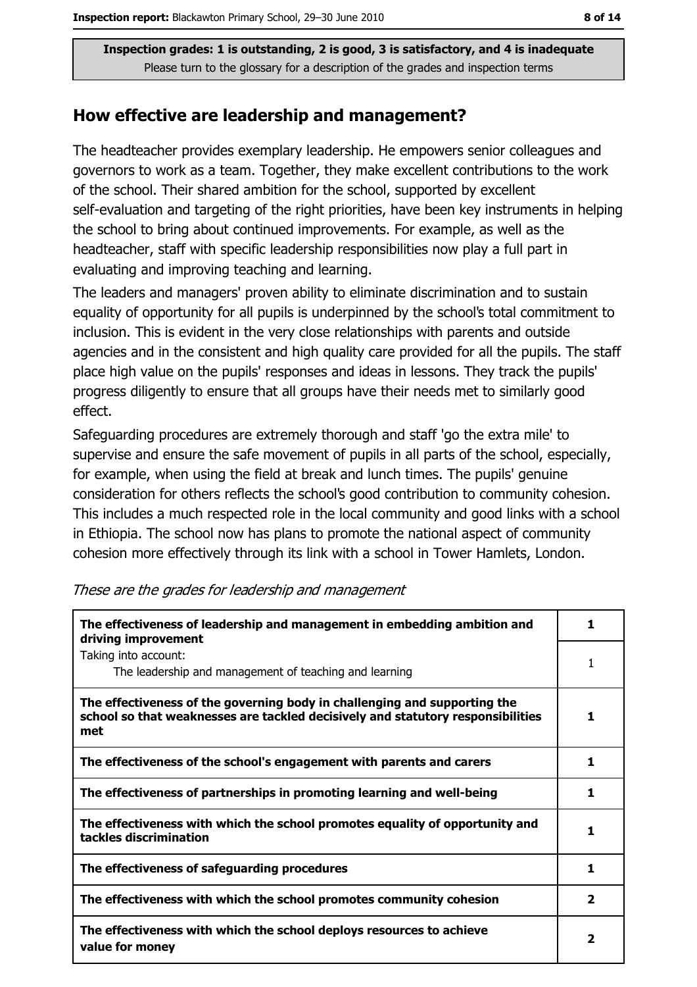#### How effective are leadership and management?

The headteacher provides exemplary leadership. He empowers senior colleagues and governors to work as a team. Together, they make excellent contributions to the work of the school. Their shared ambition for the school, supported by excellent self-evaluation and targeting of the right priorities, have been key instruments in helping the school to bring about continued improvements. For example, as well as the headteacher, staff with specific leadership responsibilities now play a full part in evaluating and improving teaching and learning.

The leaders and managers' proven ability to eliminate discrimination and to sustain equality of opportunity for all pupils is underpinned by the school's total commitment to inclusion. This is evident in the very close relationships with parents and outside agencies and in the consistent and high quality care provided for all the pupils. The staff place high value on the pupils' responses and ideas in lessons. They track the pupils' progress diligently to ensure that all groups have their needs met to similarly good effect.

Safeguarding procedures are extremely thorough and staff 'go the extra mile' to supervise and ensure the safe movement of pupils in all parts of the school, especially, for example, when using the field at break and lunch times. The pupils' genuine consideration for others reflects the school's good contribution to community cohesion. This includes a much respected role in the local community and good links with a school in Ethiopia. The school now has plans to promote the national aspect of community cohesion more effectively through its link with a school in Tower Hamlets, London.

| The effectiveness of leadership and management in embedding ambition and<br>driving improvement                                                                     | 1                        |
|---------------------------------------------------------------------------------------------------------------------------------------------------------------------|--------------------------|
| Taking into account:<br>The leadership and management of teaching and learning                                                                                      | 1                        |
| The effectiveness of the governing body in challenging and supporting the<br>school so that weaknesses are tackled decisively and statutory responsibilities<br>met |                          |
| The effectiveness of the school's engagement with parents and carers                                                                                                | 1                        |
| The effectiveness of partnerships in promoting learning and well-being                                                                                              | 1                        |
| The effectiveness with which the school promotes equality of opportunity and<br>tackles discrimination                                                              | 1                        |
| The effectiveness of safeguarding procedures                                                                                                                        | 1                        |
| The effectiveness with which the school promotes community cohesion                                                                                                 | 2                        |
| The effectiveness with which the school deploys resources to achieve<br>value for money                                                                             | $\overline{\phantom{a}}$ |

#### These are the grades for leadership and management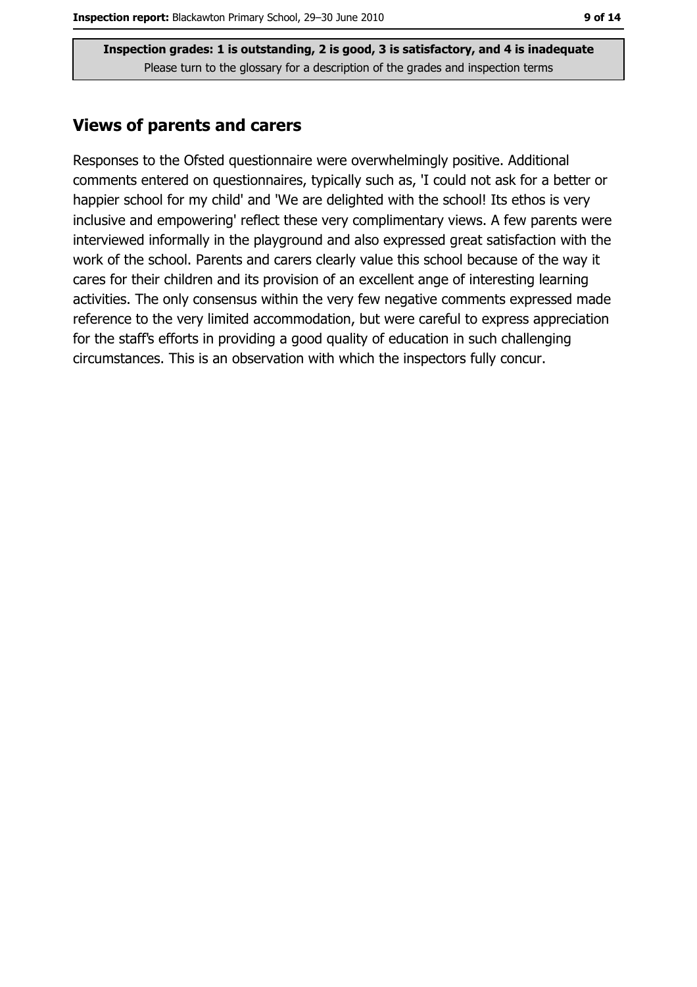#### **Views of parents and carers**

Responses to the Ofsted questionnaire were overwhelmingly positive. Additional comments entered on questionnaires, typically such as, 'I could not ask for a better or happier school for my child' and 'We are delighted with the school! Its ethos is very inclusive and empowering' reflect these very complimentary views. A few parents were interviewed informally in the playground and also expressed great satisfaction with the work of the school. Parents and carers clearly value this school because of the way it cares for their children and its provision of an excellent ange of interesting learning activities. The only consensus within the very few negative comments expressed made reference to the very limited accommodation, but were careful to express appreciation for the staff's efforts in providing a good quality of education in such challenging circumstances. This is an observation with which the inspectors fully concur.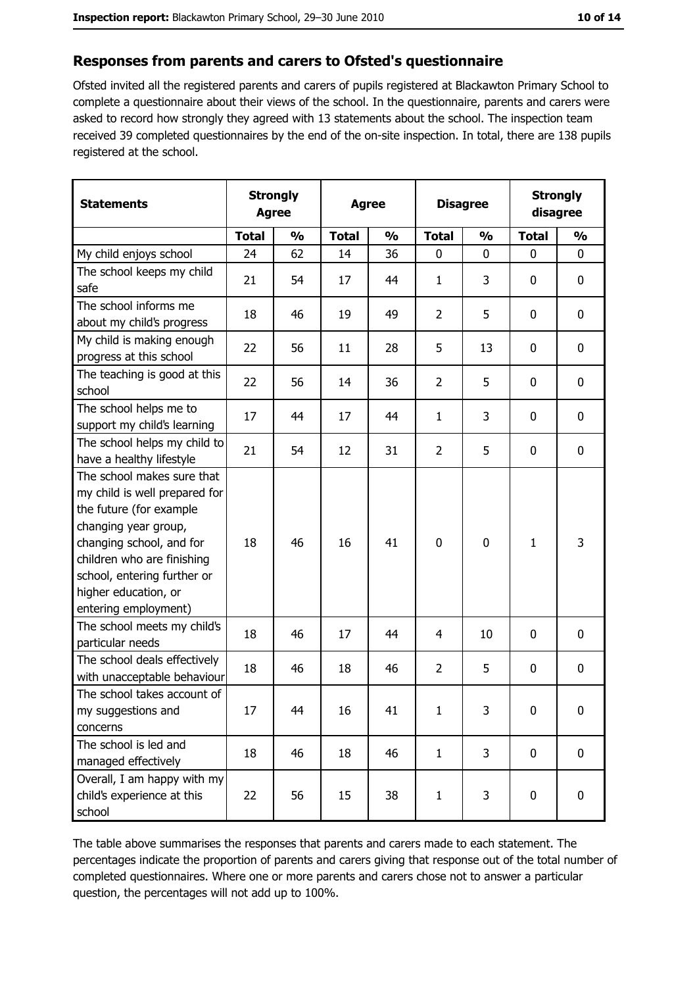#### Responses from parents and carers to Ofsted's questionnaire

Ofsted invited all the registered parents and carers of pupils registered at Blackawton Primary School to complete a questionnaire about their views of the school. In the questionnaire, parents and carers were asked to record how strongly they agreed with 13 statements about the school. The inspection team received 39 completed questionnaires by the end of the on-site inspection. In total, there are 138 pupils registered at the school.

| <b>Statements</b>                                                                                                                                                                                                                                       | <b>Strongly</b><br><b>Agree</b> |               | <b>Agree</b> |               | <b>Disagree</b> |               | <b>Strongly</b><br>disagree |                  |
|---------------------------------------------------------------------------------------------------------------------------------------------------------------------------------------------------------------------------------------------------------|---------------------------------|---------------|--------------|---------------|-----------------|---------------|-----------------------------|------------------|
|                                                                                                                                                                                                                                                         | <b>Total</b>                    | $\frac{0}{0}$ | <b>Total</b> | $\frac{0}{0}$ | <b>Total</b>    | $\frac{0}{0}$ | <b>Total</b>                | $\frac{0}{0}$    |
| My child enjoys school                                                                                                                                                                                                                                  | 24                              | 62            | 14           | 36            | 0               | 0             | $\mathbf{0}$                | 0                |
| The school keeps my child<br>safe                                                                                                                                                                                                                       | 21                              | 54            | 17           | 44            | $\mathbf{1}$    | 3             | $\mathbf{0}$                | 0                |
| The school informs me<br>about my child's progress                                                                                                                                                                                                      | 18                              | 46            | 19           | 49            | $\overline{2}$  | 5             | 0                           | $\mathbf 0$      |
| My child is making enough<br>progress at this school                                                                                                                                                                                                    | 22                              | 56            | 11           | 28            | 5               | 13            | 0                           | 0                |
| The teaching is good at this<br>school                                                                                                                                                                                                                  | 22                              | 56            | 14           | 36            | $\overline{2}$  | 5             | 0                           | 0                |
| The school helps me to<br>support my child's learning                                                                                                                                                                                                   | 17                              | 44            | 17           | 44            | $\mathbf{1}$    | 3             | 0                           | $\mathbf 0$      |
| The school helps my child to<br>have a healthy lifestyle                                                                                                                                                                                                | 21                              | 54            | 12           | 31            | $\overline{2}$  | 5             | 0                           | 0                |
| The school makes sure that<br>my child is well prepared for<br>the future (for example<br>changing year group,<br>changing school, and for<br>children who are finishing<br>school, entering further or<br>higher education, or<br>entering employment) | 18                              | 46            | 16           | 41            | $\mathbf 0$     | 0             | $\mathbf{1}$                | 3                |
| The school meets my child's<br>particular needs                                                                                                                                                                                                         | 18                              | 46            | 17           | 44            | 4               | 10            | 0                           | 0                |
| The school deals effectively<br>with unacceptable behaviour                                                                                                                                                                                             | 18                              | 46            | 18           | 46            | $\overline{2}$  | 5             | 0                           | 0                |
| The school takes account of<br>my suggestions and<br>concerns                                                                                                                                                                                           | 17                              | 44            | 16           | 41            | 1               | 3             | 0                           | 0                |
| The school is led and<br>managed effectively                                                                                                                                                                                                            | 18                              | 46            | 18           | 46            | $\mathbf{1}$    | 3             | $\bf{0}$                    | 0                |
| Overall, I am happy with my<br>child's experience at this<br>school                                                                                                                                                                                     | 22                              | 56            | 15           | 38            | $\mathbf{1}$    | 3             | $\bf{0}$                    | $\boldsymbol{0}$ |

The table above summarises the responses that parents and carers made to each statement. The percentages indicate the proportion of parents and carers giving that response out of the total number of completed questionnaires. Where one or more parents and carers chose not to answer a particular question, the percentages will not add up to 100%.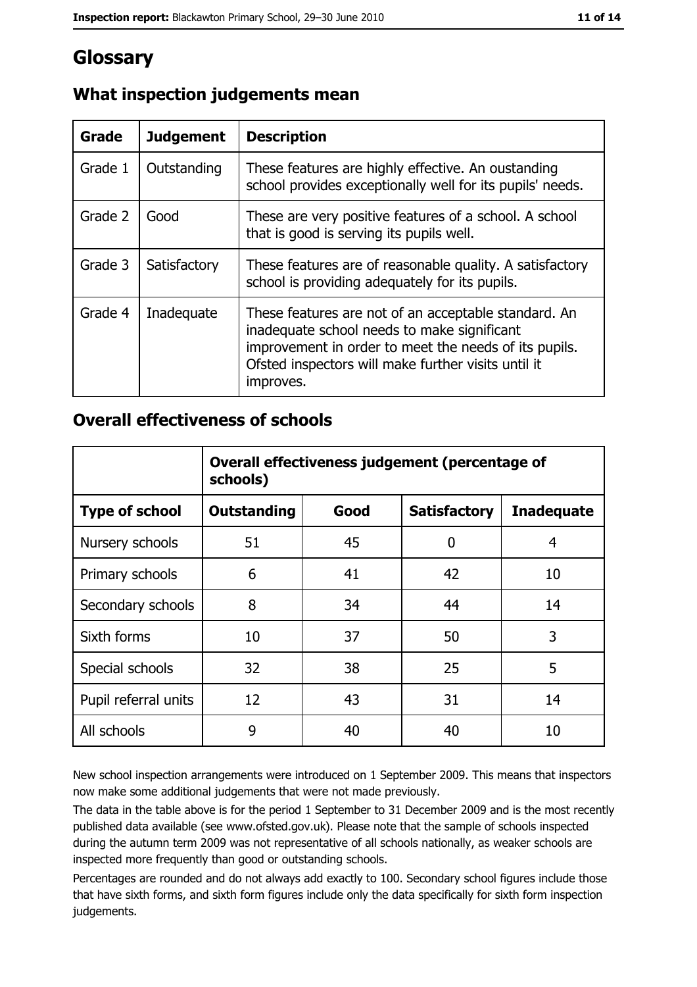# **Glossary**

| Grade   | <b>Judgement</b> | <b>Description</b>                                                                                                                                                                                                               |
|---------|------------------|----------------------------------------------------------------------------------------------------------------------------------------------------------------------------------------------------------------------------------|
| Grade 1 | Outstanding      | These features are highly effective. An oustanding<br>school provides exceptionally well for its pupils' needs.                                                                                                                  |
| Grade 2 | Good             | These are very positive features of a school. A school<br>that is good is serving its pupils well.                                                                                                                               |
| Grade 3 | Satisfactory     | These features are of reasonable quality. A satisfactory<br>school is providing adequately for its pupils.                                                                                                                       |
| Grade 4 | Inadequate       | These features are not of an acceptable standard. An<br>inadequate school needs to make significant<br>improvement in order to meet the needs of its pupils.<br>Ofsted inspectors will make further visits until it<br>improves. |

## What inspection judgements mean

## **Overall effectiveness of schools**

|                       | Overall effectiveness judgement (percentage of<br>schools) |      |                     |                   |
|-----------------------|------------------------------------------------------------|------|---------------------|-------------------|
| <b>Type of school</b> | <b>Outstanding</b>                                         | Good | <b>Satisfactory</b> | <b>Inadequate</b> |
| Nursery schools       | 51                                                         | 45   | 0                   | 4                 |
| Primary schools       | 6                                                          | 41   | 42                  | 10                |
| Secondary schools     | 8                                                          | 34   | 44                  | 14                |
| Sixth forms           | 10                                                         | 37   | 50                  | 3                 |
| Special schools       | 32                                                         | 38   | 25                  | 5                 |
| Pupil referral units  | 12                                                         | 43   | 31                  | 14                |
| All schools           | 9                                                          | 40   | 40                  | 10                |

New school inspection arrangements were introduced on 1 September 2009. This means that inspectors now make some additional judgements that were not made previously.

The data in the table above is for the period 1 September to 31 December 2009 and is the most recently published data available (see www.ofsted.gov.uk). Please note that the sample of schools inspected during the autumn term 2009 was not representative of all schools nationally, as weaker schools are inspected more frequently than good or outstanding schools.

Percentages are rounded and do not always add exactly to 100. Secondary school figures include those that have sixth forms, and sixth form figures include only the data specifically for sixth form inspection judgements.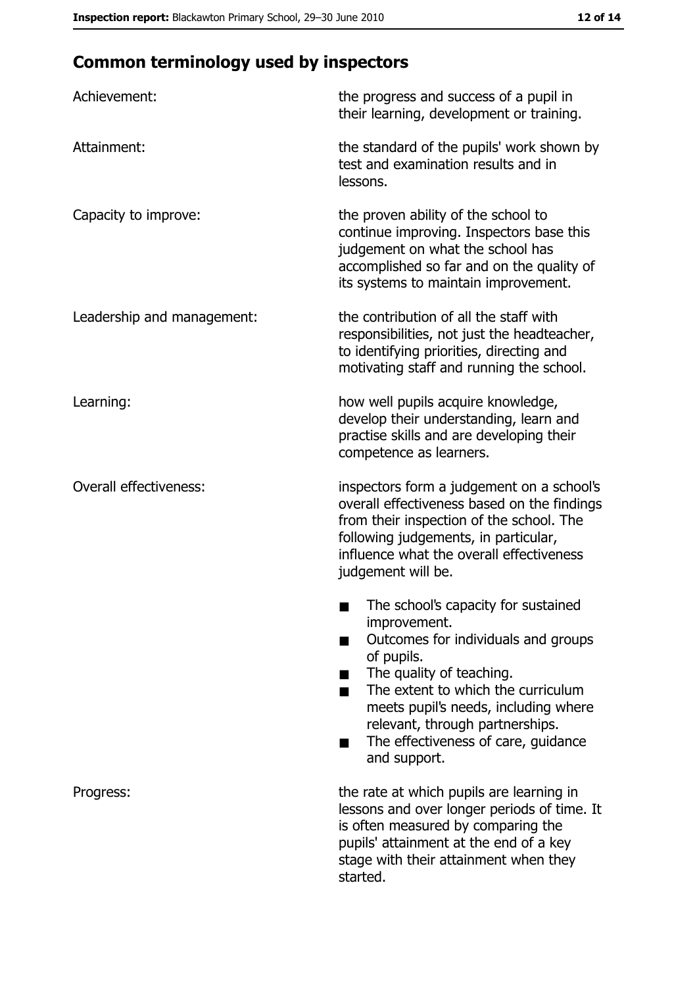# **Common terminology used by inspectors**

| Achievement:                  | the progress and success of a pupil in<br>their learning, development or training.                                                                                                                                                                                                                           |
|-------------------------------|--------------------------------------------------------------------------------------------------------------------------------------------------------------------------------------------------------------------------------------------------------------------------------------------------------------|
| Attainment:                   | the standard of the pupils' work shown by<br>test and examination results and in<br>lessons.                                                                                                                                                                                                                 |
| Capacity to improve:          | the proven ability of the school to<br>continue improving. Inspectors base this<br>judgement on what the school has<br>accomplished so far and on the quality of<br>its systems to maintain improvement.                                                                                                     |
| Leadership and management:    | the contribution of all the staff with<br>responsibilities, not just the headteacher,<br>to identifying priorities, directing and<br>motivating staff and running the school.                                                                                                                                |
| Learning:                     | how well pupils acquire knowledge,<br>develop their understanding, learn and<br>practise skills and are developing their<br>competence as learners.                                                                                                                                                          |
| <b>Overall effectiveness:</b> | inspectors form a judgement on a school's<br>overall effectiveness based on the findings<br>from their inspection of the school. The<br>following judgements, in particular,<br>influence what the overall effectiveness<br>judgement will be.                                                               |
|                               | The school's capacity for sustained<br>improvement.<br>Outcomes for individuals and groups<br>of pupils.<br>The quality of teaching.<br>The extent to which the curriculum<br>meets pupil's needs, including where<br>relevant, through partnerships.<br>The effectiveness of care, guidance<br>and support. |
| Progress:                     | the rate at which pupils are learning in<br>lessons and over longer periods of time. It<br>is often measured by comparing the<br>pupils' attainment at the end of a key<br>stage with their attainment when they<br>started.                                                                                 |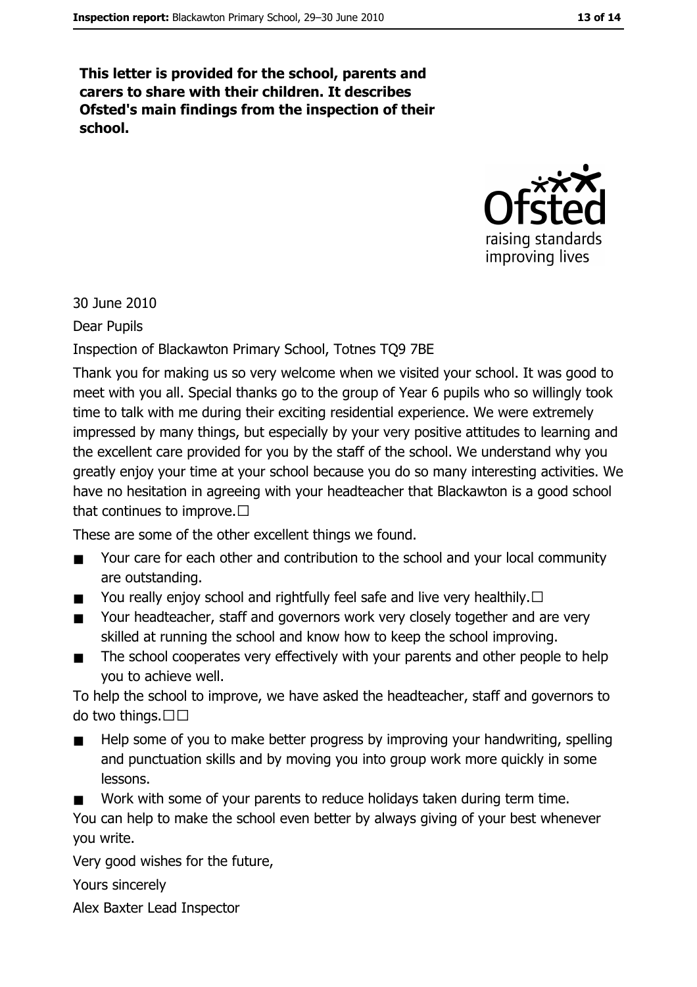This letter is provided for the school, parents and carers to share with their children. It describes Ofsted's main findings from the inspection of their school.



30 June 2010

**Dear Pupils** 

Inspection of Blackawton Primary School, Totnes TQ9 7BE

Thank you for making us so very welcome when we visited your school. It was good to meet with you all. Special thanks go to the group of Year 6 pupils who so willingly took time to talk with me during their exciting residential experience. We were extremely impressed by many things, but especially by your very positive attitudes to learning and the excellent care provided for you by the staff of the school. We understand why you greatly enjoy your time at your school because you do so many interesting activities. We have no hesitation in agreeing with your headteacher that Blackawton is a good school that continues to improve.  $\Box$ 

These are some of the other excellent things we found.

- Your care for each other and contribution to the school and your local community  $\blacksquare$ are outstanding.
- You really enjoy school and rightfully feel safe and live very healthily.  $\square$  $\blacksquare$
- Your headteacher, staff and governors work very closely together and are very  $\blacksquare$ skilled at running the school and know how to keep the school improving.
- The school cooperates very effectively with your parents and other people to help  $\blacksquare$ you to achieve well.

To help the school to improve, we have asked the headteacher, staff and governors to do two things.□□

- Help some of you to make better progress by improving your handwriting, spelling and punctuation skills and by moving you into group work more quickly in some lessons.
- Work with some of your parents to reduce holidays taken during term time.

You can help to make the school even better by always giving of your best whenever you write.

Very good wishes for the future,

Yours sincerely

Alex Baxter Lead Inspector